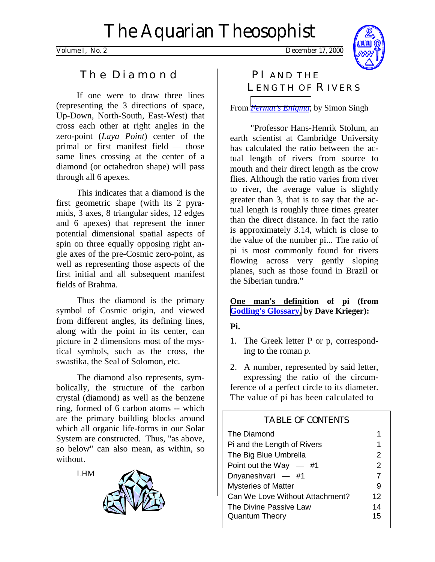Volume I, No. 2 December 17, 2000



## The Diamond

If one were to draw three lines (representing the 3 directions of space, Up-Down, North-South, East-West) that cross each other at right angles in the zero-point (*Laya Point*) center of the primal or first manifest field — those same lines crossing at the center of a diamond (or octahedron shape) will pass through all 6 apexes.

This indicates that a diamond is the first geometric shape (with its 2 pyramids, 3 axes, 8 triangular sides, 12 edges and 6 apexes) that represent the inner potential dimensional spatial aspects of spin on three equally opposing right angle axes of the pre-Cosmic zero-point, as well as representing those aspects of the first initial and all subsequent manifest fields of Brahma.

 Thus the diamond is the primary symbol of Cosmic origin, and viewed from different angles, its defining lines, along with the point in its center, can picture in 2 dimensions most of the mystical symbols, such as the cross, the swastika, the Seal of Solomon, etc.

 The diamond also represents, symbolically, the structure of the carbon crystal (diamond) as well as the benzene ring, formed of 6 carbon atoms -- which are the primary building blocks around which all organic life-forms in our Solar System are constructed. Thus, "as above, so below" can also mean, as within, so without.

LHM



# PI AND THE LENGTH OF RIVERS

From *[Fermat's Enigma](http://www.amazon.com/exec/obidos/ISBN=0385493622/parallaxproductiA/)*, by Simon Singh

"Professor Hans-Henrik Stolum, an earth scientist at Cambridge University has calculated the ratio between the actual length of rivers from source to mouth and their direct length as the crow flies. Although the ratio varies from river to river, the average value is slightly greater than 3, that is to say that the actual length is roughly three times greater than the direct distance. In fact the ratio is approximately 3.14, which is close to the value of the number pi... The ratio of pi is most commonly found for rivers flowing across very gently sloping planes, such as those found in Brazil or the Siberian tundra."

### **One man's definition of pi (from [Godling's Glossary,](http://www.fqa.com/dave/) by Dave Krieger):**

## **Pi.**

1. The Greek letter P or p, corresponding to the roman *p.* 

2. A number, represented by said letter, expressing the ratio of the circumference of a perfect circle to its diameter. The value of pi has been calculated to

## TABLE OF CONTENTS

| The Diamond                     |               |
|---------------------------------|---------------|
| Pi and the Length of Rivers     | 1             |
| The Big Blue Umbrella           | 2             |
| Point out the Way $-$ #1        | $\mathcal{P}$ |
| Dnyaneshvari — #1               | 7             |
| <b>Mysteries of Matter</b>      | 9             |
| Can We Love Without Attachment? | 12            |
| The Divine Passive Law          | 14            |
| <b>Quantum Theory</b>           | 15            |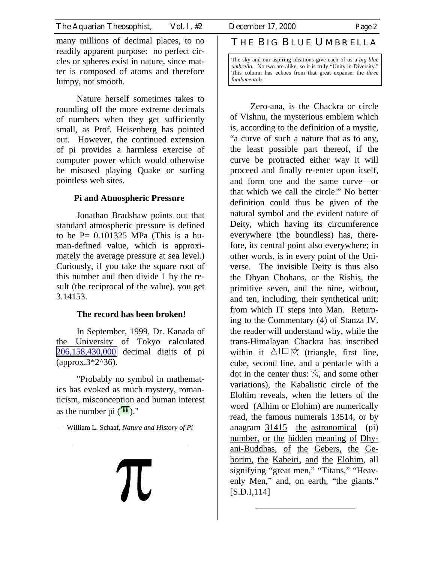many millions of decimal places, to no readily apparent purpose: no perfect circles or spheres exist in nature, since matter is composed of atoms and therefore lumpy, not smooth.

Nature herself sometimes takes to rounding off the more extreme decimals of numbers when they get sufficiently small, as Prof. Heisenberg has pointed out. However, the continued extension of pi provides a harmless exercise of computer power which would otherwise be misused playing Quake or surfing pointless web sites.

#### **Pi and Atmospheric Pressure**

Jonathan Bradshaw points out that standard atmospheric pressure is defined to be  $P = 0.101325$  MPa (This is a human-defined value, which is approximately the average pressure at sea level.) Curiously, if you take the square root of this number and then divide 1 by the result (the reciprocal of the value), you get 3.14153.

#### **The record has been broken!**

In September, 1999, Dr. Kanada of the University of Tokyo calculated [206,158,430,000](ftp://www.cc.u-tokyo.ac.jp/README.our_latest_record) decimal digits of pi  $(\text{approx}.3^*2^{\land}36).$ 

"Probably no symbol in mathematics has evoked as much mystery, romanticism, misconception and human interest as the number pi  $(\mathbf{T})$ ."

— William L. Schaaf, *Nature and History of Pi*

# **TC**

## THE BIG BLUE UMBRELLA

The sky and our aspiring ideations give each of us a *big blue umbrella.* No two are alike, so it is truly "Unity in Diversity." This column has echoes from that great expanse: the *three fundamentals*—

Zero-ana, is the Chackra or circle of Vishnu, the mysterious emblem which is, according to the definition of a mystic, "a curve of such a nature that as to any, the least possible part thereof, if the curve be protracted either way it will proceed and finally re-enter upon itself, and form one and the same curve—or that which we call the circle." No better definition could thus be given of the natural symbol and the evident nature of Deity, which having its circumference everywhere (the boundless) has, therefore, its central point also everywhere; in other words, is in every point of the Universe. The invisible Deity is thus also the Dhyan Chohans, or the Rishis, the primitive seven, and the nine, without, and ten, including, their synthetical unit; from which IT steps into Man. Returning to the Commentary (4) of Stanza IV. the reader will understand why, while the trans-Himalayan Chackra has inscribed within it  $\Delta \Box \Box \otimes$  (triangle, first line, cube, second line, and a pentacle with a dot in the center thus:  $\mathbb{R}$ , and some other variations), the Kabalistic circle of the Elohim reveals, when the letters of the word (Alhim or Elohim) are numerically read, the famous numerals 13514, or by anagram 31415—the astronomical (pi) number, or the hidden meaning of Dhyani-Buddhas, of the Gebers, the Geborim, the Kabeiri, and the Elohim, all signifying "great men," "Titans," "Heavenly Men," and, on earth, "the giants." [S.D.I,114]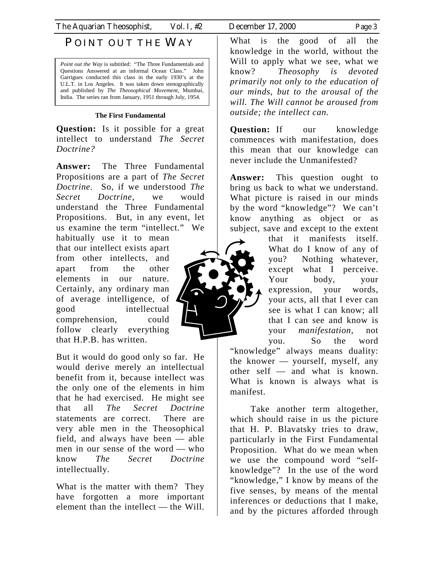# POINT OUT THE WAY

*Point out the Way is subtitled:* "The Three Fundamentals and Questions Answered at an informal Ocean Class." John Garrigues conducted this class in the early 1930's at the U.L.T. in Los Angeles. It was taken down stenographically and published by *The Theosophical Movement,* Mumbai, India. The series ran from January, 1951 through July, 1954.

#### **The First Fundamental**

**Question:** Is it possible for a great intellect to understand *The Secret Doctrine?*

**Answer:** The Three Fundamental Propositions are a part of *The Secret Doctrine.* So, if we understood *The Secret Doctrine,* we would understand the Three Fundamental Propositions. But, in any event, let us examine the term "intellect." We

habitually use it to mean that our intellect exists apart from other intellects, and apart from the other elements in our nature. Certainly, any ordinary man of average intelligence, of good intellectual comprehension, could follow clearly everything that H.P.B. has written.

But it would do good only so far. He would derive merely an intellectual benefit from it, because intellect was the only one of the elements in him that he had exercised. He might see that all *The Secret Doctrine*  statements are correct. There are very able men in the Theosophical field, and always have been — able men in our sense of the word — who know *The Secret Doctrine*  intellectually.

What is the matter with them? They have forgotten a more important element than the intellect — the Will.

What is the good of all the knowledge in the world, without the Will to apply what we see, what we know? *Theosophy is devoted primarily not only to the education of our minds, but to the arousal of the will. The Will cannot be aroused from outside; the intellect can.*

**Question:** If our knowledge commences with manifestation, does this mean that our knowledge can never include the Unmanifested?

**Answer:** This question ought to bring us back to what we understand. What picture is raised in our minds by the word "knowledge"? We can't know anything as object or as subject, save and except to the extent

that it manifests itself. What do I know of any of you? Nothing whatever, except what I perceive. Your body, your expression, your words, your acts, all that I ever can see is what I can know; all that I can see and know is your *manifestation,* not you. So the word "knowledge" always means duality: the knower — yourself, myself, any other self — and what is known.

 Take another term altogether, which should raise in us the picture that H. P. Blavatsky tries to draw, particularly in the First Fundamental Proposition. What do we mean when we use the compound word "selfknowledge"? In the use of the word "knowledge," I know by means of the five senses, by means of the mental inferences or deductions that I make, and by the pictures afforded through

What is known is always what is



manifest.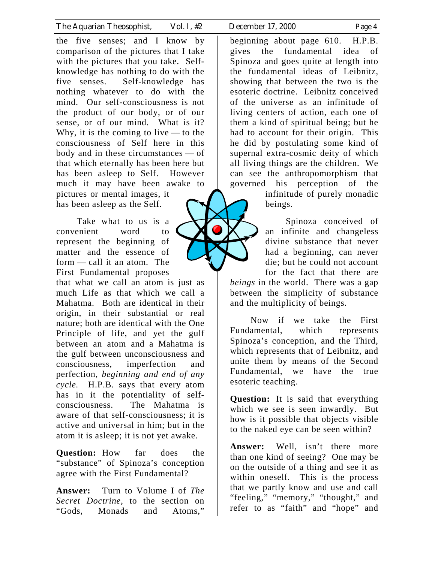the five senses; and I know by comparison of the pictures that I take with the pictures that you take. Selfknowledge has nothing to do with the five senses. Self-knowledge has nothing whatever to do with the mind. Our self-consciousness is not the product of our body, or of our sense, or of our mind. What is it? Why, it is the coming to live — to the consciousness of Self here in this body and in these circumstances — of that which eternally has been here but has been asleep to Self. However much it may have been awake to pictures or mental images, it has been asleep as the Self.

 Take what to us is a convenient word to represent the beginning of matter and the essence of form — call it an atom. The First Fundamental proposes that what we call an atom is just as much Life as that which we call a Mahatma. Both are identical in their origin, in their substantial or real nature; both are identical with the One Principle of life, and yet the gulf between an atom and a Mahatma is the gulf between unconsciousness and consciousness, imperfection and perfection, *beginning and end of any cycle.* H.P.B. says that every atom has in it the potentiality of selfconsciousness. The Mahatma is aware of that self-consciousness; it is active and universal in him; but in the atom it is asleep; it is not yet awake.

**Question:** How far does the "substance" of Spinoza's conception agree with the First Fundamental?

**Answer:** Turn to Volume I of *The Secret Doctrine,* to the section on "Gods, Monads and Atoms,"

beginning about page 610. H.P.B. gives the fundamental idea of Spinoza and goes quite at length into the fundamental ideas of Leibnitz, showing that between the two is the esoteric doctrine. Leibnitz conceived of the universe as an infinitude of living centers of action, each one of them a kind of spiritual being; but he had to account for their origin. This he did by postulating some kind of supernal extra-cosmic deity of which all living things are the children. We can see the anthropomorphism that governed his perception of the

infinitude of purely monadic beings.

 Spinoza conceived of an infinite and changeless divine substance that never had a beginning, can never die; but he could not account for the fact that there are *beings* in the world. There was a gap between the simplicity of substance and the multiplicity of beings.

 Now if we take the First Fundamental, which represents Spinoza's conception, and the Third, which represents that of Leibnitz, and unite them by means of the Second Fundamental, we have the true esoteric teaching.

**Question:** It is said that everything which we see is seen inwardly. But how is it possible that objects visible to the naked eye can be seen within?

**Answer:** Well, isn't there more than one kind of seeing? One may be on the outside of a thing and see it as within oneself. This is the process that we partly know and use and call "feeling," "memory," "thought," and refer to as "faith" and "hope" and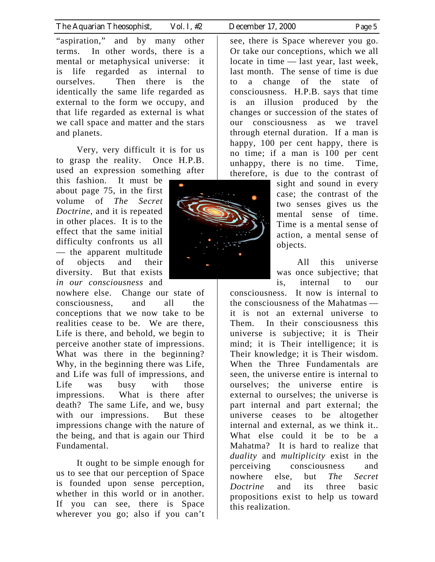"aspiration," and by many other terms. In other words, there is a mental or metaphysical universe: it is life regarded as internal to ourselves. Then there is the identically the same life regarded as external to the form we occupy, and that life regarded as external is what we call space and matter and the stars and planets.

 Very, very difficult it is for us to grasp the reality. Once H.P.B. used an expression something after

this fashion. It must be about page 75, in the first volume of *The Secret Doctrine,* and it is repeated in other places. It is to the effect that the same initial difficulty confronts us all — the apparent multitude of objects and their diversity. But that exists *in our consciousness* and

nowhere else. Change our state of consciousness, and all the conceptions that we now take to be realities cease to be. We are there, Life is there, and behold, we begin to perceive another state of impressions. What was there in the beginning? Why, in the beginning there was Life, and Life was full of impressions, and Life was busy with those impressions. What is there after death? The same Life, and we, busy with our impressions. But these impressions change with the nature of the being, and that is again our Third Fundamental.

 It ought to be simple enough for us to see that our perception of Space is founded upon sense perception, whether in this world or in another. If you can see, there is Space wherever you go; also if you can't

see, there is Space wherever you go. Or take our conceptions, which we all locate in time — last year, last week, last month. The sense of time is due to a change of the state of consciousness. H.P.B. says that time is an illusion produced by the changes or succession of the states of our consciousness as we travel through eternal duration. If a man is happy, 100 per cent happy, there is no time; if a man is 100 per cent unhappy, there is no time. Time, therefore, is due to the contrast of

> sight and sound in every case; the contrast of the two senses gives us the mental sense of time. Time is a mental sense of action, a mental sense of objects.

> All this universe was once subjective; that is, internal to our

consciousness. It now is internal to the consciousness of the Mahatmas it is not an external universe to Them. In their consciousness this universe is subjective; it is Their mind; it is Their intelligence; it is Their knowledge; it is Their wisdom. When the Three Fundamentals are seen, the universe entire is internal to ourselves; the universe entire is external to ourselves; the universe is part internal and part external; the universe ceases to be altogether internal and external, as we think it.. What else could it be to be a Mahatma? It is hard to realize that *duality* and *multiplicity* exist in the perceiving consciousness and nowhere else, but *The Secret Doctrine* and its three basic propositions exist to help us toward this realization.

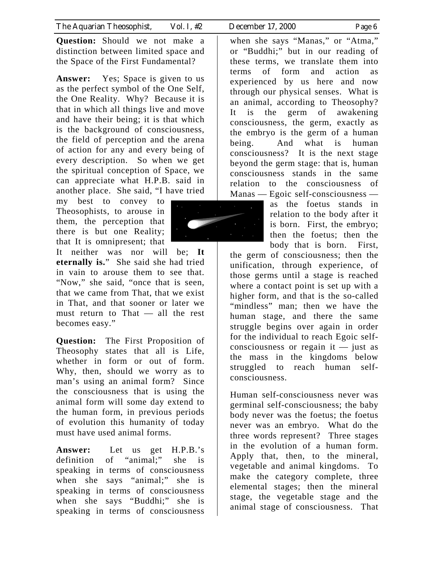**Question:** Should we not make a distinction between limited space and the Space of the First Fundamental?

**Answer:** Yes; Space is given to us as the perfect symbol of the One Self, the One Reality. Why? Because it is that in which all things live and move and have their being; it is that which is the background of consciousness, the field of perception and the arena of action for any and every being of every description. So when we get the spiritual conception of Space, we can appreciate what H.P.B. said in another place. She said, "I have tried

my best to convey to Theosophists, to arouse in them, the perception that there is but one Reality; that It is omnipresent; that

It neither was nor will be; **It eternally is.**" She said she had tried in vain to arouse them to see that. "Now," she said, "once that is seen, that we came from That, that we exist in That, and that sooner or later we must return to That — all the rest becomes easy."

**Question:** The First Proposition of Theosophy states that all is Life, whether in form or out of form. Why, then, should we worry as to man's using an animal form? Since the consciousness that is using the animal form will some day extend to the human form, in previous periods of evolution this humanity of today must have used animal forms.

**Answer:** Let us get H.P.B.'s definition of "animal;" she is speaking in terms of consciousness when she says "animal;" she is speaking in terms of consciousness when she says "Buddhi;" she is speaking in terms of consciousness

when she says "Manas," or "Atma," or "Buddhi;" but in our reading of these terms, we translate them into terms of form and action as experienced by us here and now through our physical senses. What is an animal, according to Theosophy? It is the germ of awakening consciousness, the germ, exactly as the embryo is the germ of a human being. And what is human consciousness? It is the next stage beyond the germ stage: that is, human consciousness stands in the same relation to the consciousness of Manas — Egoic self-consciousness —

as the foetus stands in relation to the body after it is born. First, the embryo; then the foetus; then the body that is born. First,

the germ of consciousness; then the unification, through experience, of those germs until a stage is reached where a contact point is set up with a higher form, and that is the so-called "mindless" man; then we have the human stage, and there the same struggle begins over again in order for the individual to reach Egoic selfconsciousness or regain it  $-$  just as the mass in the kingdoms below struggled to reach human selfconsciousness.

Human self-consciousness never was germinal self-consciousness; the baby body never was the foetus; the foetus never was an embryo. What do the three words represent? Three stages in the evolution of a human form. Apply that, then, to the mineral, vegetable and animal kingdoms. To make the category complete, three elemental stages; then the mineral stage, the vegetable stage and the animal stage of consciousness. That

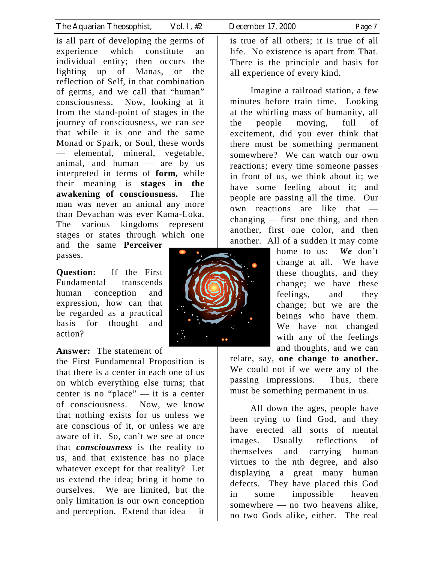is all part of developing the germs of experience which constitute an individual entity; then occurs the lighting up of Manas, or the reflection of Self, in that combination of germs, and we call that "human" consciousness. Now, looking at it from the stand-point of stages in the journey of consciousness, we can see that while it is one and the same Monad or Spark, or Soul, these words — elemental, mineral, vegetable, animal, and human — are by us interpreted in terms of **form,** while their meaning is **stages in the awakening of consciousness.** The man was never an animal any more than Devachan was ever Kama-Loka. The various kingdoms represent stages or states through which one and the same **Perceiver** 

passes.

**Question:** If the First Fundamental transcends human conception and expression, how can that be regarded as a practical basis for thought and action?

#### **Answer:** The statement of

the First Fundamental Proposition is that there is a center in each one of us on which everything else turns; that center is no "place" — it is a center of consciousness. Now, we know that nothing exists for us unless we are conscious of it, or unless we are aware of it. So, can't we see at once that *consciousness* is the reality to us, and that existence has no place whatever except for that reality? Let us extend the idea; bring it home to ourselves. We are limited, but the only limitation is our own conception and perception. Extend that idea — it

is true of all others; it is true of all life. No existence is apart from That. There is the principle and basis for all experience of every kind.

 Imagine a railroad station, a few minutes before train time. Looking at the whirling mass of humanity, all the people moving, full of excitement, did you ever think that there must be something permanent somewhere? We can watch our own reactions; every time someone passes in front of us, we think about it; we have some feeling about it; and people are passing all the time. Our own reactions are like that changing — first one thing, and then another, first one color, and then another. All of a sudden it may come

> home to us: *We* don't change at all. We have these thoughts, and they change; we have these feelings, and they change; but we are the beings who have them. We have not changed with any of the feelings and thoughts, and we can

relate, say, **one change to another.** We could not if we were any of the passing impressions. Thus, there must be something permanent in us.

 All down the ages, people have been trying to find God, and they have erected all sorts of mental images. Usually reflections of themselves and carrying human virtues to the nth degree, and also displaying a great many human defects. They have placed this God in some impossible heaven somewhere — no two heavens alike, no two Gods alike, either. The real

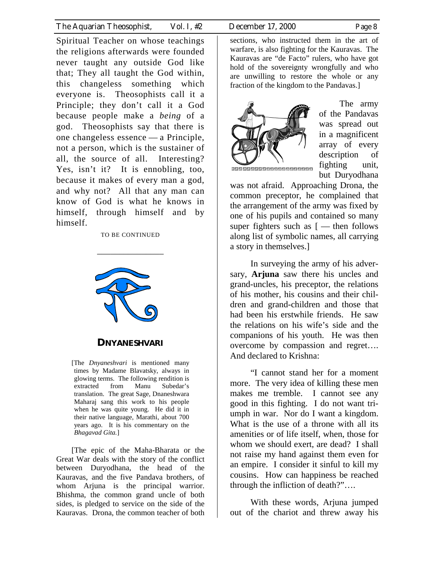Spiritual Teacher on whose teachings the religions afterwards were founded never taught any outside God like that; They all taught the God within, this changeless something which everyone is. Theosophists call it a Principle; they don't call it a God because people make a *being* of a god. Theosophists say that there is one changeless essence — a Principle, not a person, which is the sustainer of all, the source of all. Interesting? Yes, isn't it? It is ennobling, too, because it makes of every man a god, and why not? All that any man can know of God is what he knows in himself, through himself and by himself.

#### TO BE CONTINUED

\_\_\_\_\_\_\_\_\_\_\_\_\_\_\_



#### **DNYANESHVARI**

[The *Dnyaneshvari* is mentioned many times by Madame Blavatsky, always in glowing terms. The following rendition is extracted from Manu Subedar's translation. The great Sage, Dnaneshwara Maharaj sang this work to his people when he was quite young. He did it in their native language, Marathi, about 700 years ago. It is his commentary on the *Bhagavad Gita.*]

[The epic of the Maha-Bharata or the Great War deals with the story of the conflict between Duryodhana, the head of the Kauravas, and the five Pandava brothers, of whom Arjuna is the principal warrior. Bhishma, the common grand uncle of both sides, is pledged to service on the side of the Kauravas. Drona, the common teacher of both

sections, who instructed them in the art of warfare, is also fighting for the Kauravas. The Kauravas are "de Facto" rulers, who have got hold of the sovereignty wrongfully and who are unwilling to restore the whole or any fraction of the kingdom to the Pandavas.]



The army of the Pandavas was spread out in a magnificent array of every description of fighting unit, but Duryodhana

,,,,,,,,,,,,,,,,,,,,,,,,

was not afraid. Approaching Drona, the common preceptor, he complained that the arrangement of the army was fixed by one of his pupils and contained so many super fighters such as  $[$  — then follows along list of symbolic names, all carrying a story in themselves.]

In surveying the army of his adversary, **Arjuna** saw there his uncles and grand-uncles, his preceptor, the relations of his mother, his cousins and their children and grand-children and those that had been his erstwhile friends. He saw the relations on his wife's side and the companions of his youth. He was then overcome by compassion and regret…. And declared to Krishna:

"I cannot stand her for a moment more. The very idea of killing these men makes me tremble. I cannot see any good in this fighting. I do not want triumph in war. Nor do I want a kingdom. What is the use of a throne with all its amenities or of life itself, when, those for whom we should exert, are dead? I shall not raise my hand against them even for an empire. I consider it sinful to kill my cousins. How can happiness be reached through the infliction of death?"….

With these words, Arjuna jumped out of the chariot and threw away his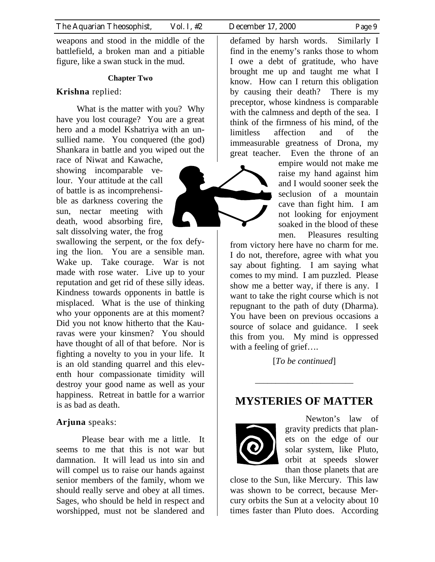weapons and stood in the middle of the battlefield, a broken man and a pitiable figure, like a swan stuck in the mud.

#### **Chapter Two**

#### **Krishna** replied:

What is the matter with you? Why have you lost courage? You are a great hero and a model Kshatriya with an unsullied name. You conquered (the god) Shankara in battle and you wiped out the race of Niwat and Kawache,

showing incomparable velour. Your attitude at the call of battle is as incomprehensible as darkness covering the sun, nectar meeting with death, wood absorbing fire, salt dissolving water, the frog

swallowing the serpent, or the fox defying the lion. You are a sensible man. Wake up. Take courage. War is not made with rose water. Live up to your reputation and get rid of these silly ideas. Kindness towards opponents in battle is misplaced. What is the use of thinking who your opponents are at this moment? Did you not know hitherto that the Kauravas were your kinsmen? You should have thought of all of that before. Nor is fighting a novelty to you in your life. It is an old standing quarrel and this eleventh hour compassionate timidity will destroy your good name as well as your happiness. Retreat in battle for a warrior is as bad as death.

#### **Arjuna** speaks:

Please bear with me a little. It seems to me that this is not war but damnation. It will lead us into sin and will compel us to raise our hands against senior members of the family, whom we should really serve and obey at all times. Sages, who should be held in respect and worshipped, must not be slandered and

defamed by harsh words. Similarly I find in the enemy's ranks those to whom I owe a debt of gratitude, who have brought me up and taught me what I know. How can I return this obligation by causing their death? There is my preceptor, whose kindness is comparable with the calmness and depth of the sea. I think of the firmness of his mind, of the limitless affection and of the immeasurable greatness of Drona, my great teacher. Even the throne of an

> empire would not make me raise my hand against him and I would sooner seek the seclusion of a mountain cave than fight him. I am not looking for enjoyment soaked in the blood of these men. Pleasures resulting

from victory here have no charm for me. I do not, therefore, agree with what you say about fighting. I am saying what comes to my mind. I am puzzled. Please show me a better way, if there is any. I want to take the right course which is not repugnant to the path of duty (Dharma). You have been on previous occasions a source of solace and guidance. I seek this from you. My mind is oppressed with a feeling of grief….

[*To be continued*]

## **MYSTERIES OF MATTER**

\_\_\_\_\_\_\_\_\_\_\_\_\_\_\_\_\_\_\_\_\_\_\_\_



Newton's law of gravity predicts that planets on the edge of our solar system, like Pluto, orbit at speeds slower than those planets that are

close to the Sun, like Mercury. This law was shown to be correct, because Mercury orbits the Sun at a velocity about 10 times faster than Pluto does. According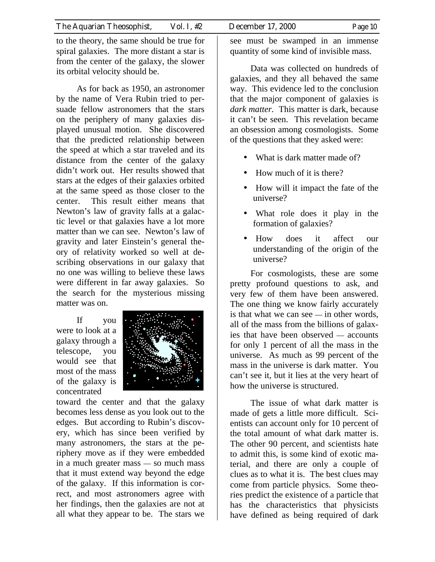to the theory, the same should be true for spiral galaxies. The more distant a star is from the center of the galaxy, the slower its orbital velocity should be.

As for back as 1950, an astronomer by the name of Vera Rubin tried to persuade fellow astronomers that the stars on the periphery of many galaxies displayed unusual motion. She discovered that the predicted relationship between the speed at which a star traveled and its distance from the center of the galaxy didn't work out. Her results showed that stars at the edges of their galaxies orbited at the same speed as those closer to the center. This result either means that Newton's law of gravity falls at a galactic level or that galaxies have a lot more matter than we can see. Newton's law of gravity and later Einstein's general theory of relativity worked so well at describing observations in our galaxy that no one was willing to believe these laws were different in far away galaxies. So the search for the mysterious missing matter was on.

If you were to look at a galaxy through a telescope, you would see that most of the mass of the galaxy is concentrated



toward the center and that the galaxy becomes less dense as you look out to the edges. But according to Rubin's discovery, which has since been verified by many astronomers, the stars at the periphery move as if they were embedded in a much greater mass — so much mass that it must extend way beyond the edge of the galaxy. If this information is correct, and most astronomers agree with her findings, then the galaxies are not at all what they appear to be. The stars we

see must be swamped in an immense quantity of some kind of invisible mass.

Data was collected on hundreds of galaxies, and they all behaved the same way. This evidence led to the conclusion that the major component of galaxies is *dark matter.* This matter is dark, because it can't be seen. This revelation became an obsession among cosmologists. Some of the questions that they asked were:

- What is dark matter made of?
- How much of it is there?
- How will it impact the fate of the universe?
- What role does it play in the formation of galaxies?
- How does it affect our understanding of the origin of the universe?

For cosmologists, these are some pretty profound questions to ask, and very few of them have been answered. The one thing we know fairly accurately is that what we can see — in other words, all of the mass from the billions of galaxies that have been observed — accounts for only 1 percent of all the mass in the universe. As much as 99 percent of the mass in the universe is dark matter. You can't see it, but it lies at the very heart of how the universe is structured.

The issue of what dark matter is made of gets a little more difficult. Scientists can account only for 10 percent of the total amount of what dark matter is. The other 90 percent, and scientists hate to admit this, is some kind of exotic material, and there are only a couple of clues as to what it is. The best clues may come from particle physics. Some theories predict the existence of a particle that has the characteristics that physicists have defined as being required of dark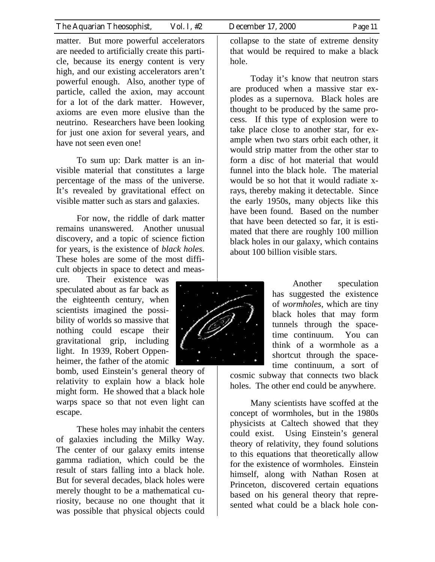matter. But more powerful accelerators are needed to artificially create this particle, because its energy content is very high, and our existing accelerators aren't powerful enough. Also, another type of particle, called the axion, may account for a lot of the dark matter. However, axioms are even more elusive than the neutrino. Researchers have been looking for just one axion for several years, and have not seen even one!

To sum up: Dark matter is an invisible material that constitutes a large percentage of the mass of the universe. It's revealed by gravitational effect on visible matter such as stars and galaxies.

For now, the riddle of dark matter remains unanswered. Another unusual discovery, and a topic of science fiction for years, is the existence of *black holes.* These holes are some of the most difficult objects in space to detect and meas-

ure. Their existence was speculated about as far back as the eighteenth century, when scientists imagined the possibility of worlds so massive that nothing could escape their gravitational grip, including light. In 1939, Robert Oppenheimer, the father of the atomic

bomb, used Einstein's general theory of relativity to explain how a black hole might form. He showed that a black hole warps space so that not even light can escape.

These holes may inhabit the centers of galaxies including the Milky Way. The center of our galaxy emits intense gamma radiation, which could be the result of stars falling into a black hole. But for several decades, black holes were merely thought to be a mathematical curiosity, because no one thought that it was possible that physical objects could

collapse to the state of extreme density that would be required to make a black hole.

Today it's know that neutron stars are produced when a massive star explodes as a supernova. Black holes are thought to be produced by the same process. If this type of explosion were to take place close to another star, for example when two stars orbit each other, it would strip matter from the other star to form a disc of hot material that would funnel into the black hole. The material would be so hot that it would radiate xrays, thereby making it detectable. Since the early 1950s, many objects like this have been found. Based on the number that have been detected so far, it is estimated that there are roughly 100 million black holes in our galaxy, which contains about 100 billion visible stars.



Another speculation has suggested the existence of *wormholes,* which are tiny black holes that may form tunnels through the spacetime continuum. You can think of a wormhole as a shortcut through the spacetime continuum, a sort of

cosmic subway that connects two black holes. The other end could be anywhere.

Many scientists have scoffed at the concept of wormholes, but in the 1980s physicists at Caltech showed that they could exist. Using Einstein's general theory of relativity, they found solutions to this equations that theoretically allow for the existence of wormholes. Einstein himself, along with Nathan Rosen at Princeton, discovered certain equations based on his general theory that represented what could be a black hole con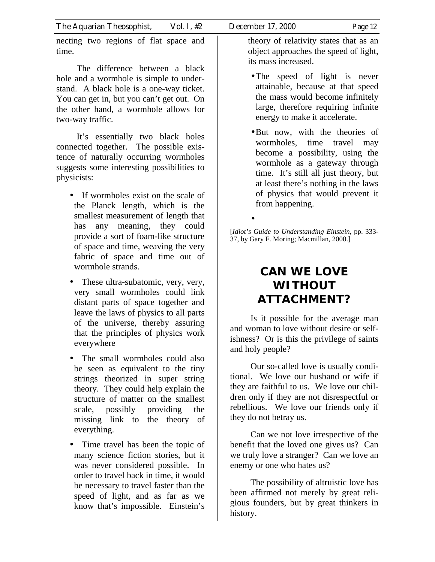necting two regions of flat space and time.

The difference between a black hole and a wormhole is simple to understand. A black hole is a one-way ticket. You can get in, but you can't get out. On the other hand, a wormhole allows for two-way traffic.

It's essentially two black holes connected together. The possible existence of naturally occurring wormholes suggests some interesting possibilities to physicists:

- If wormholes exist on the scale of the Planck length, which is the smallest measurement of length that has any meaning, they could provide a sort of foam-like structure of space and time, weaving the very fabric of space and time out of wormhole strands.
- These ultra-subatomic, very, very, very small wormholes could link distant parts of space together and leave the laws of physics to all parts of the universe, thereby assuring that the principles of physics work everywhere
- The small wormholes could also be seen as equivalent to the tiny strings theorized in super string theory. They could help explain the structure of matter on the smallest scale, possibly providing the missing link to the theory of everything.
- Time travel has been the topic of many science fiction stories, but it was never considered possible. In order to travel back in time, it would be necessary to travel faster than the speed of light, and as far as we know that's impossible. Einstein's

theory of relativity states that as an object approaches the speed of light, its mass increased.

- The speed of light is never attainable, because at that speed the mass would become infinitely large, therefore requiring infinite energy to make it accelerate.
- But now, with the theories of wormholes, time travel may become a possibility, using the wormhole as a gateway through time. It's still all just theory, but at least there's nothing in the laws of physics that would prevent it from happening.

[*Idiot's Guide to Understanding Einstein,* pp. 333- 37, by Gary F. Moring; Macmillan, 2000.]

•

# **CAN WE LOVE WITHOUT ATTACHMENT?**

Is it possible for the average man and woman to love without desire or selfishness? Or is this the privilege of saints and holy people?

Our so-called love is usually conditional. We love our husband or wife if they are faithful to us. We love our children only if they are not disrespectful or rebellious. We love our friends only if they do not betray us.

Can we not love irrespective of the benefit that the loved one gives us? Can we truly love a stranger? Can we love an enemy or one who hates us?

The possibility of altruistic love has been affirmed not merely by great religious founders, but by great thinkers in history.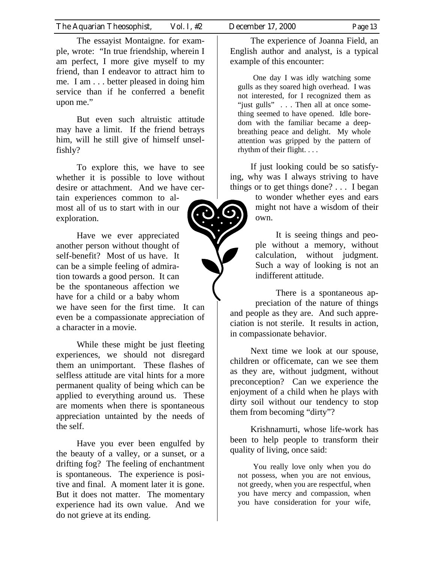The essayist Montaigne. for example, wrote: "In true friendship, wherein I am perfect, I more give myself to my friend, than I endeavor to attract him to me. I am . . . better pleased in doing him service than if he conferred a benefit upon me."

But even such altruistic attitude may have a limit. If the friend betrays him, will he still give of himself unselfishly?

To explore this, we have to see whether it is possible to love without desire or attachment. And we have certain experiences common to almost all of us to start with in our exploration.

Have we ever appreciated another person without thought of self-benefit? Most of us have. It can be a simple feeling of admiration towards a good person. It can be the spontaneous affection we have for a child or a baby whom we have seen for the first time. It can even be a compassionate appreciation of a character in a movie.

While these might be just fleeting experiences, we should not disregard them an unimportant. These flashes of selfless attitude are vital hints for a more permanent quality of being which can be applied to everything around us. These are moments when there is spontaneous appreciation untainted by the needs of the self.

Have you ever been engulfed by the beauty of a valley, or a sunset, or a drifting fog? The feeling of enchantment is spontaneous. The experience is positive and final. A moment later it is gone. But it does not matter. The momentary experience had its own value. And we do not grieve at its ending.

The experience of Joanna Field, an English author and analyst, is a typical example of this encounter:

One day I was idly watching some gulls as they soared high overhead. I was not interested, for I recognized them as "just gulls" . . . Then all at once something seemed to have opened. Idle boredom with the familiar became a deepbreathing peace and delight. My whole attention was gripped by the pattern of rhythm of their flight. . . .

If just looking could be so satisfying, why was I always striving to have things or to get things done? . . . I began

> to wonder whether eyes and ears might not have a wisdom of their own.

> It is seeing things and people without a memory, without calculation, without judgment. Such a way of looking is not an indifferent attitude.

There is a spontaneous appreciation of the nature of things and people as they are. And such appreciation is not sterile. It results in action, in compassionate behavior.

Next time we look at our spouse, children or officemate, can we see them as they are, without judgment, without preconception? Can we experience the enjoyment of a child when he plays with dirty soil without our tendency to stop them from becoming "dirty"?

Krishnamurti, whose life-work has been to help people to transform their quality of living, once said:

You really love only when you do not possess, when you are not envious, not greedy, when you are respectful, when you have mercy and compassion, when you have consideration for your wife,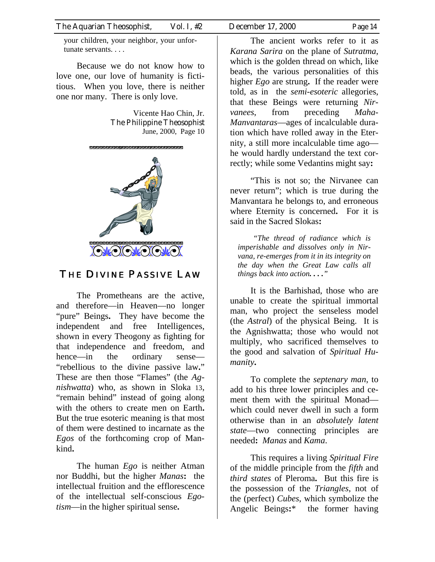your children, your neighbor, your unfortunate servants. . . .

Because we do not know how to love one, our love of humanity is fictitious. When you love, there is neither one nor many. There is only love.

> Vicente Hao Chin, Jr. The Philippine Theosophist June, 2000, Page 10



## THE DIVINE PASSIVE LAW

The Prometheans are the active, and therefore—in Heaven—no longer "pure" Beings**.** They have become the independent and free Intelligences, shown in every Theogony as fighting for that independence and freedom, and hence—in the ordinary sense— "rebellious to the divine passive law**.**" These are then those "Flames" (the *Agnishwatta*) who, as shown in Sloka 13, "remain behind" instead of going along with the others to create men on Earth**.** But the true esoteric meaning is that most of them were destined to incarnate as the *Egos* of the forthcoming crop of Mankind**.**

The human *Ego* is neither Atman nor Buddhi, but the higher *Manas***:** the intellectual fruition and the efflorescence of the intellectual self-conscious *Egotism*—in the higher spiritual sense**.**

The ancient works refer to it as *Karana Sarira* on the plane of *Sutratma*, which is the golden thread on which, like beads, the various personalities of this higher *Ego* are strung**.** If the reader were told, as in the *semi-esoteric* allegories, that these Beings were returning *Nirvanees*, from preceding *Maha-Manvantaras*—ages of incalculable duration which have rolled away in the Eternity, a still more incalculable time ago he would hardly understand the text correctly; while some Vedantins might say**:**

"This is not so; the Nirvanee can never return"; which is true during the Manvantara he belongs to, and erroneous where Eternity is concerned**.** For it is said in the Sacred Slokas**:**

*"The thread of radiance which is imperishable and dissolves only in Nirvana, re-emerges from it in its integrity on the day when the Great Law calls all things back into action. . . ."* 

It is the Barhishad, those who are unable to create the spiritual immortal man, who project the senseless model (the *Astral*) of the physical Being. It is the Agnishwatta; those who would not multiply, who sacrificed themselves to the good and salvation of *Spiritual Humanity***.** 

To complete the *septenary man*, to add to his three lower principles and cement them with the spiritual Monad which could never dwell in such a form otherwise than in an *absolutely latent state*—two connecting principles are needed**:** *Manas* and *Kama*.

This requires a living *Spiritual Fire* of the middle principle from the *fifth* and *third states* of Pleroma**.** But this fire is the possession of the *Triangles*, not of the (perfect) *Cubes*, which symbolize the Angelic Beings**:**\* the former having